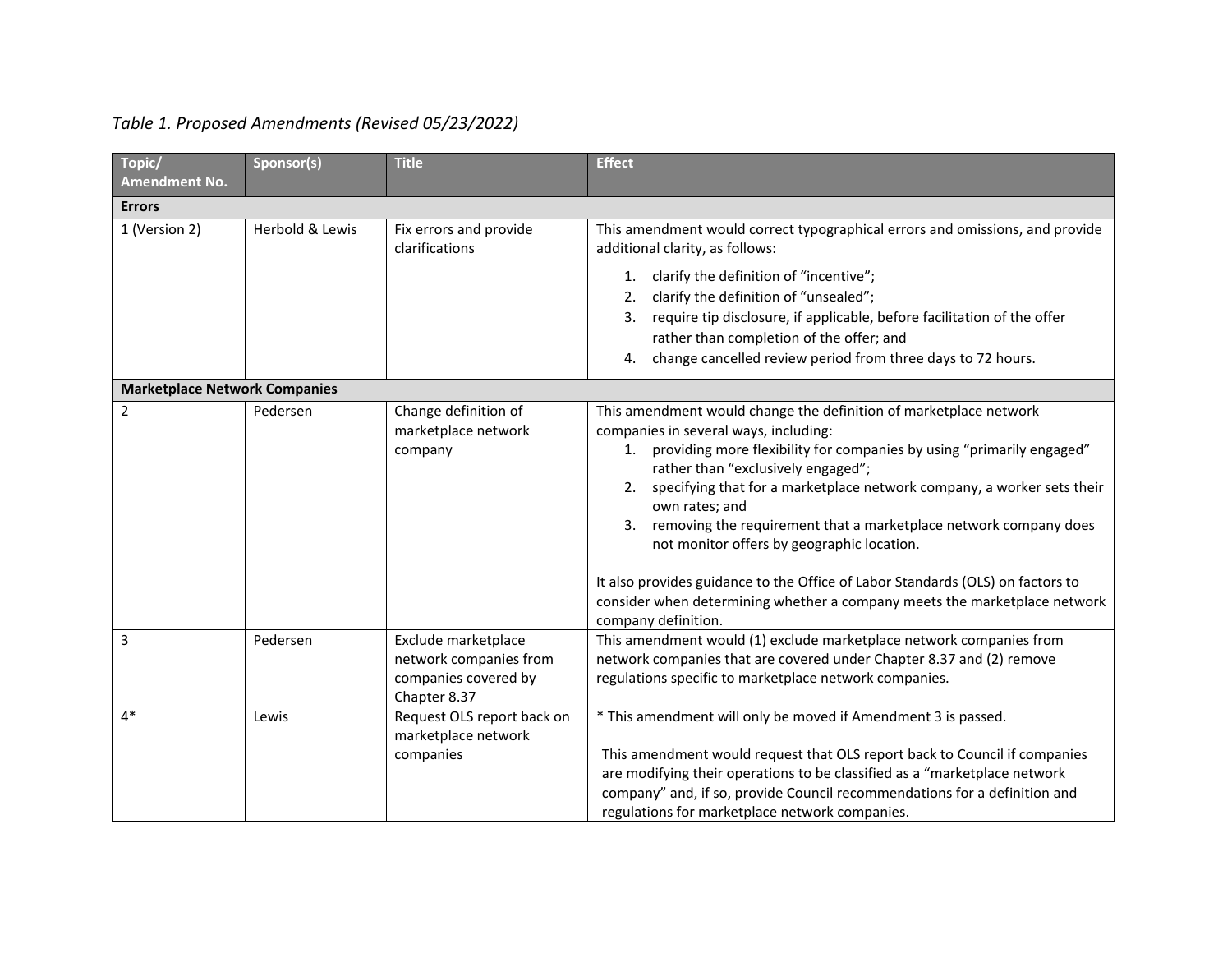# *Table 1. Proposed Amendments (Revised 05/23/2022)*

| Topic/<br><b>Amendment No.</b>       | Sponsor(s)      | <b>Title</b>                                                                          | <b>Effect</b>                                                                                                                                                                                                                                                                                                                                                                                                                                                                                                                                                                                                                          |
|--------------------------------------|-----------------|---------------------------------------------------------------------------------------|----------------------------------------------------------------------------------------------------------------------------------------------------------------------------------------------------------------------------------------------------------------------------------------------------------------------------------------------------------------------------------------------------------------------------------------------------------------------------------------------------------------------------------------------------------------------------------------------------------------------------------------|
| <b>Errors</b>                        |                 |                                                                                       |                                                                                                                                                                                                                                                                                                                                                                                                                                                                                                                                                                                                                                        |
| 1 (Version 2)                        | Herbold & Lewis | Fix errors and provide<br>clarifications                                              | This amendment would correct typographical errors and omissions, and provide<br>additional clarity, as follows:<br>clarify the definition of "incentive";<br>1.<br>clarify the definition of "unsealed";<br>2.<br>require tip disclosure, if applicable, before facilitation of the offer<br>3.<br>rather than completion of the offer; and<br>change cancelled review period from three days to 72 hours.<br>4.                                                                                                                                                                                                                       |
| <b>Marketplace Network Companies</b> |                 |                                                                                       |                                                                                                                                                                                                                                                                                                                                                                                                                                                                                                                                                                                                                                        |
| 2                                    | Pedersen        | Change definition of<br>marketplace network<br>company                                | This amendment would change the definition of marketplace network<br>companies in several ways, including:<br>1. providing more flexibility for companies by using "primarily engaged"<br>rather than "exclusively engaged";<br>2. specifying that for a marketplace network company, a worker sets their<br>own rates; and<br>3. removing the requirement that a marketplace network company does<br>not monitor offers by geographic location.<br>It also provides guidance to the Office of Labor Standards (OLS) on factors to<br>consider when determining whether a company meets the marketplace network<br>company definition. |
| 3                                    | Pedersen        | Exclude marketplace<br>network companies from<br>companies covered by<br>Chapter 8.37 | This amendment would (1) exclude marketplace network companies from<br>network companies that are covered under Chapter 8.37 and (2) remove<br>regulations specific to marketplace network companies.                                                                                                                                                                                                                                                                                                                                                                                                                                  |
| $4*$                                 | Lewis           | Request OLS report back on<br>marketplace network<br>companies                        | * This amendment will only be moved if Amendment 3 is passed.<br>This amendment would request that OLS report back to Council if companies<br>are modifying their operations to be classified as a "marketplace network<br>company" and, if so, provide Council recommendations for a definition and<br>regulations for marketplace network companies.                                                                                                                                                                                                                                                                                 |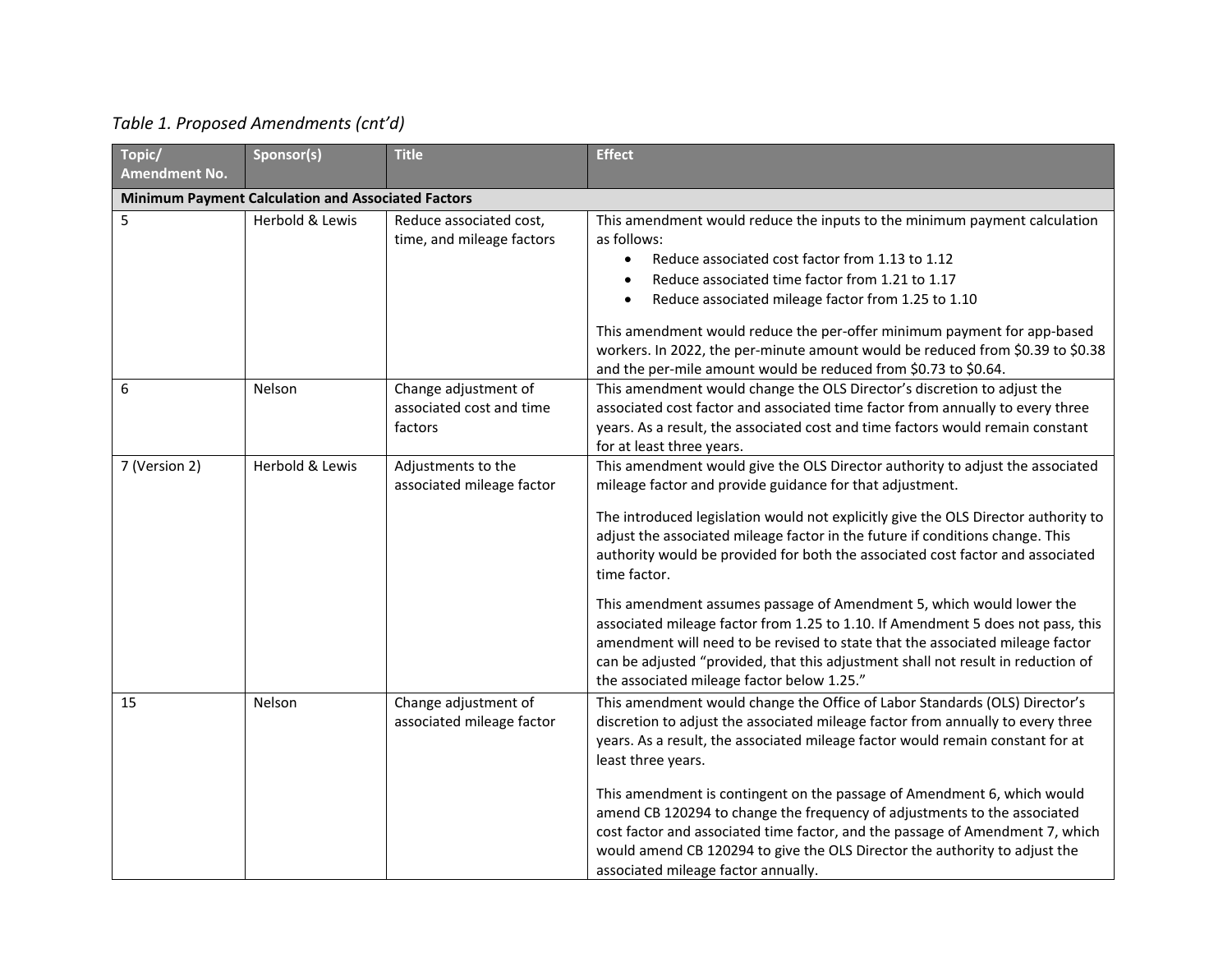| Topic/               | Sponsor(s)                                                | <b>Title</b>                                                | <b>Effect</b>                                                                                                                                                                                                                                                                                                                                                                                                                                                                                                                                                                                                                                                                                                                                                                                    |
|----------------------|-----------------------------------------------------------|-------------------------------------------------------------|--------------------------------------------------------------------------------------------------------------------------------------------------------------------------------------------------------------------------------------------------------------------------------------------------------------------------------------------------------------------------------------------------------------------------------------------------------------------------------------------------------------------------------------------------------------------------------------------------------------------------------------------------------------------------------------------------------------------------------------------------------------------------------------------------|
| <b>Amendment No.</b> |                                                           |                                                             |                                                                                                                                                                                                                                                                                                                                                                                                                                                                                                                                                                                                                                                                                                                                                                                                  |
|                      | <b>Minimum Payment Calculation and Associated Factors</b> |                                                             |                                                                                                                                                                                                                                                                                                                                                                                                                                                                                                                                                                                                                                                                                                                                                                                                  |
| 5                    | Herbold & Lewis                                           | Reduce associated cost,<br>time, and mileage factors        | This amendment would reduce the inputs to the minimum payment calculation<br>as follows:<br>Reduce associated cost factor from 1.13 to 1.12<br>$\bullet$<br>Reduce associated time factor from 1.21 to 1.17<br>$\bullet$<br>Reduce associated mileage factor from 1.25 to 1.10<br>$\bullet$<br>This amendment would reduce the per-offer minimum payment for app-based<br>workers. In 2022, the per-minute amount would be reduced from \$0.39 to \$0.38                                                                                                                                                                                                                                                                                                                                         |
|                      |                                                           |                                                             | and the per-mile amount would be reduced from \$0.73 to \$0.64.                                                                                                                                                                                                                                                                                                                                                                                                                                                                                                                                                                                                                                                                                                                                  |
| 6                    | Nelson                                                    | Change adjustment of<br>associated cost and time<br>factors | This amendment would change the OLS Director's discretion to adjust the<br>associated cost factor and associated time factor from annually to every three<br>years. As a result, the associated cost and time factors would remain constant<br>for at least three years.                                                                                                                                                                                                                                                                                                                                                                                                                                                                                                                         |
| 7 (Version 2)        | Herbold & Lewis                                           | Adjustments to the<br>associated mileage factor             | This amendment would give the OLS Director authority to adjust the associated<br>mileage factor and provide guidance for that adjustment.<br>The introduced legislation would not explicitly give the OLS Director authority to<br>adjust the associated mileage factor in the future if conditions change. This<br>authority would be provided for both the associated cost factor and associated<br>time factor.<br>This amendment assumes passage of Amendment 5, which would lower the<br>associated mileage factor from 1.25 to 1.10. If Amendment 5 does not pass, this<br>amendment will need to be revised to state that the associated mileage factor<br>can be adjusted "provided, that this adjustment shall not result in reduction of<br>the associated mileage factor below 1.25." |
| 15                   | Nelson                                                    | Change adjustment of<br>associated mileage factor           | This amendment would change the Office of Labor Standards (OLS) Director's<br>discretion to adjust the associated mileage factor from annually to every three<br>years. As a result, the associated mileage factor would remain constant for at<br>least three years.<br>This amendment is contingent on the passage of Amendment 6, which would<br>amend CB 120294 to change the frequency of adjustments to the associated<br>cost factor and associated time factor, and the passage of Amendment 7, which<br>would amend CB 120294 to give the OLS Director the authority to adjust the<br>associated mileage factor annually.                                                                                                                                                               |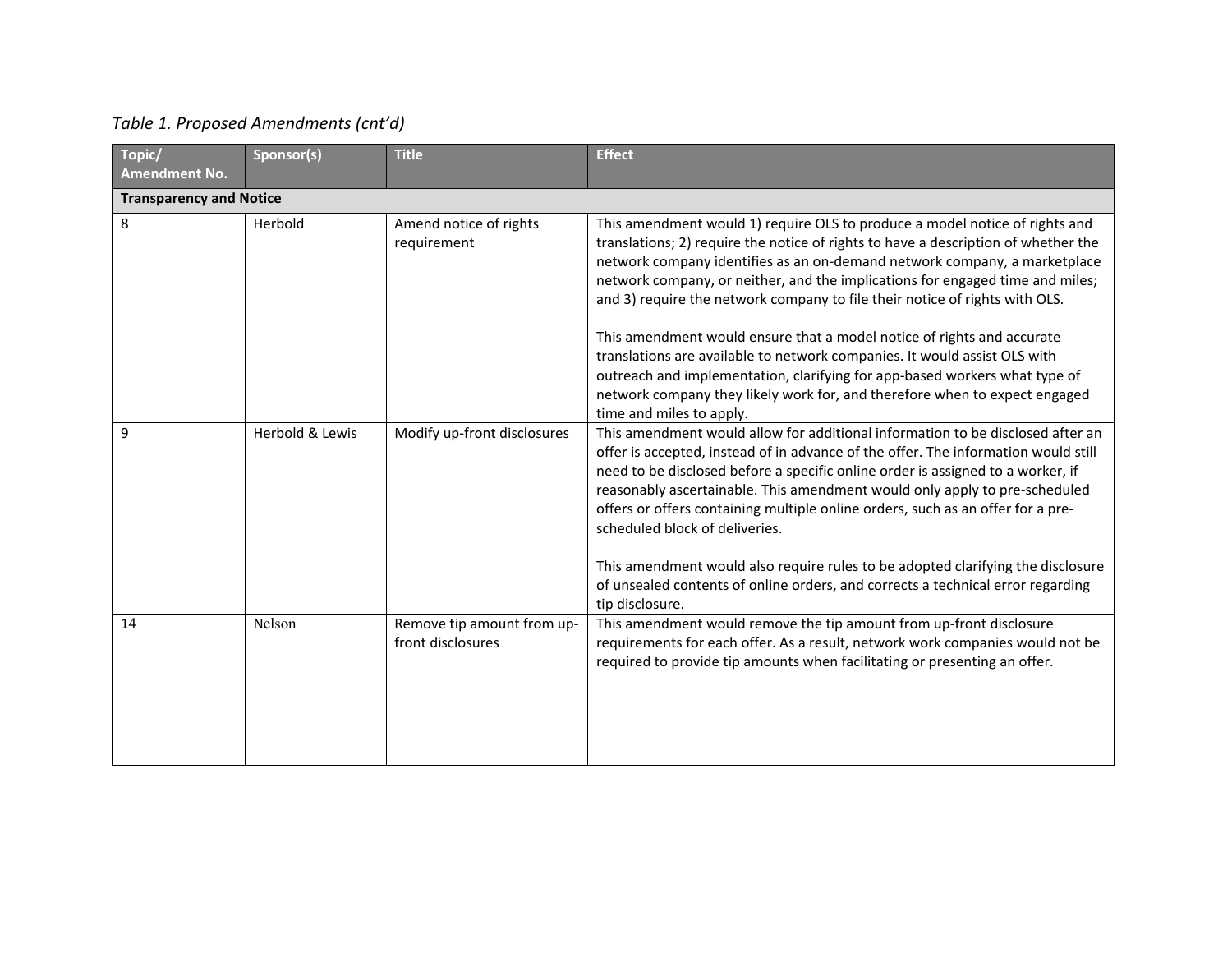| Topic/<br><b>Amendment No.</b> | Sponsor(s)      | <b>Title</b>                                    | <b>Effect</b>                                                                                                                                                                                                                                                                                                                                                                                                                                                                                                                                                                                                                                                                                                                                                 |
|--------------------------------|-----------------|-------------------------------------------------|---------------------------------------------------------------------------------------------------------------------------------------------------------------------------------------------------------------------------------------------------------------------------------------------------------------------------------------------------------------------------------------------------------------------------------------------------------------------------------------------------------------------------------------------------------------------------------------------------------------------------------------------------------------------------------------------------------------------------------------------------------------|
| <b>Transparency and Notice</b> |                 |                                                 |                                                                                                                                                                                                                                                                                                                                                                                                                                                                                                                                                                                                                                                                                                                                                               |
| 8                              | Herbold         | Amend notice of rights<br>requirement           | This amendment would 1) require OLS to produce a model notice of rights and<br>translations; 2) require the notice of rights to have a description of whether the<br>network company identifies as an on-demand network company, a marketplace<br>network company, or neither, and the implications for engaged time and miles;<br>and 3) require the network company to file their notice of rights with OLS.<br>This amendment would ensure that a model notice of rights and accurate<br>translations are available to network companies. It would assist OLS with<br>outreach and implementation, clarifying for app-based workers what type of<br>network company they likely work for, and therefore when to expect engaged<br>time and miles to apply. |
| 9                              | Herbold & Lewis | Modify up-front disclosures                     | This amendment would allow for additional information to be disclosed after an<br>offer is accepted, instead of in advance of the offer. The information would still<br>need to be disclosed before a specific online order is assigned to a worker, if<br>reasonably ascertainable. This amendment would only apply to pre-scheduled<br>offers or offers containing multiple online orders, such as an offer for a pre-<br>scheduled block of deliveries.<br>This amendment would also require rules to be adopted clarifying the disclosure<br>of unsealed contents of online orders, and corrects a technical error regarding<br>tip disclosure.                                                                                                           |
| 14                             | Nelson          | Remove tip amount from up-<br>front disclosures | This amendment would remove the tip amount from up-front disclosure<br>requirements for each offer. As a result, network work companies would not be<br>required to provide tip amounts when facilitating or presenting an offer.                                                                                                                                                                                                                                                                                                                                                                                                                                                                                                                             |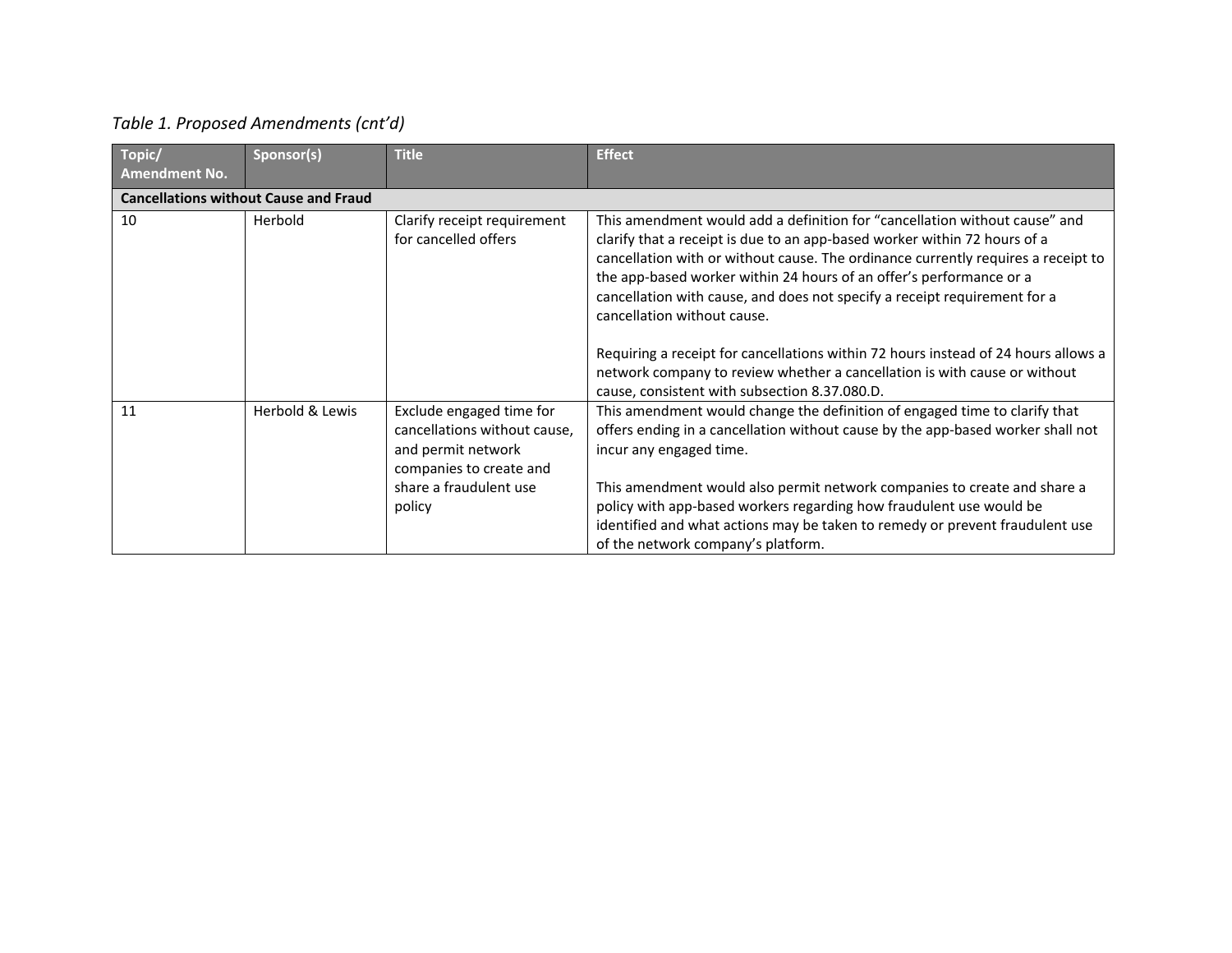| Topic/<br>Amendment No. | Sponsor(s)                                   | <b>Title</b>                                                                                                                                  | <b>Effect</b>                                                                                                                                                                                                                                                                                                                                                                                                                                                                                                                                                                                                                                       |
|-------------------------|----------------------------------------------|-----------------------------------------------------------------------------------------------------------------------------------------------|-----------------------------------------------------------------------------------------------------------------------------------------------------------------------------------------------------------------------------------------------------------------------------------------------------------------------------------------------------------------------------------------------------------------------------------------------------------------------------------------------------------------------------------------------------------------------------------------------------------------------------------------------------|
|                         | <b>Cancellations without Cause and Fraud</b> |                                                                                                                                               |                                                                                                                                                                                                                                                                                                                                                                                                                                                                                                                                                                                                                                                     |
| 10                      | Herbold                                      | Clarify receipt requirement<br>for cancelled offers                                                                                           | This amendment would add a definition for "cancellation without cause" and<br>clarify that a receipt is due to an app-based worker within 72 hours of a<br>cancellation with or without cause. The ordinance currently requires a receipt to<br>the app-based worker within 24 hours of an offer's performance or a<br>cancellation with cause, and does not specify a receipt requirement for a<br>cancellation without cause.<br>Requiring a receipt for cancellations within 72 hours instead of 24 hours allows a<br>network company to review whether a cancellation is with cause or without<br>cause, consistent with subsection 8.37.080.D. |
| 11                      | Herbold & Lewis                              | Exclude engaged time for<br>cancellations without cause,<br>and permit network<br>companies to create and<br>share a fraudulent use<br>policy | This amendment would change the definition of engaged time to clarify that<br>offers ending in a cancellation without cause by the app-based worker shall not<br>incur any engaged time.<br>This amendment would also permit network companies to create and share a<br>policy with app-based workers regarding how fraudulent use would be<br>identified and what actions may be taken to remedy or prevent fraudulent use<br>of the network company's platform.                                                                                                                                                                                   |